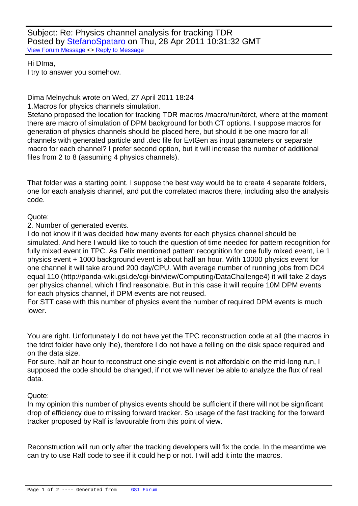Subject: Re: Physics channel analysis for tracking TDR Posted by StefanoSpataro on Thu, 28 Apr 2011 10:31:32 GMT View Forum Message <> Reply to Message

Hi DIma, I try to answ[er you somehow.](https://forum.gsi.de/index.php?t=usrinfo&id=306)

Dima Melnychuk wrote on Wed, 27 April 2011 18:24

1.Macros for physics channels simulation.

Stefano proposed the location for tracking TDR macros /macro/run/tdrct, where at the moment there are macro of simulation of DPM background for both CT options. I suppose macros for generation of physics channels should be placed here, but should it be one macro for all channels with generated particle and .dec file for EvtGen as input parameters or separate macro for each channel? I prefer second option, but it will increase the number of additional files from 2 to 8 (assuming 4 physics channels).

That folder was a starting point. I suppose the best way would be to create 4 separate folders, one for each analysis channel, and put the correlated macros there, including also the analysis code.

Quote:

2. Number of generated events.

I do not know if it was decided how many events for each physics channel should be simulated. And here I would like to touch the question of time needed for pattern recognition for fully mixed event in TPC. As Felix mentioned pattern recognition for one fully mixed event, i.e 1 physics event + 1000 background event is about half an hour. With 10000 physics event for one channel it will take around 200 day/CPU. With average number of running jobs from DC4 equal 110 (http://panda-wiki.gsi.de/cgi-bin/view/Computing/DataChallenge4) it will take 2 days per physics channel, which I find reasonable. But in this case it will require 10M DPM events for each physics channel, if DPM events are not reused.

For STT case with this number of physics event the number of required DPM events is much lower.

You are right. Unfortunately I do not have yet the TPC reconstruction code at all (the macros in the tdrct folder have only lhe), therefore I do not have a felling on the disk space required and on the data size.

For sure, half an hour to reconstruct one single event is not affordable on the mid-long run, I supposed the code should be changed, if not we will never be able to analyze the flux of real data.

Quote:

In my opinion this number of physics events should be sufficient if there will not be significant drop of efficiency due to missing forward tracker. So usage of the fast tracking for the forward tracker proposed by Ralf is favourable from this point of view.

Reconstruction will run only after the tracking developers will fix the code. In the meantime we can try to use Ralf code to see if it could help or not. I will add it into the macros.